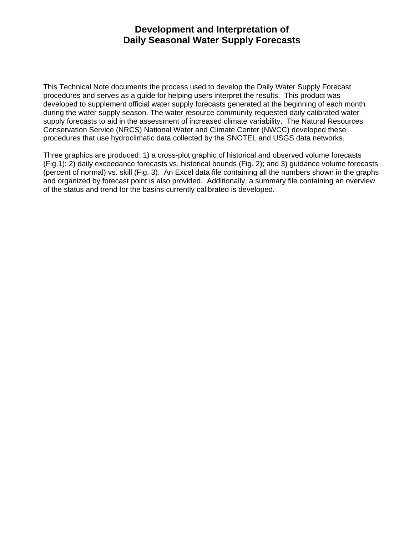## **Development and Interpretation of Daily Seasonal Water Supply Forecasts**

This Technical Note documents the process used to develop the Daily Water Supply Forecast procedures and serves as a guide for helping users interpret the results. This product was developed to supplement official water supply forecasts generated at the beginning of each month during the water supply season. The water resource community requested daily calibrated water supply forecasts to aid in the assessment of increased climate variability. The Natural Resources Conservation Service (NRCS) National Water and Climate Center (NWCC) developed these procedures that use hydroclimatic data collected by the SNOTEL and USGS data networks.

Three graphics are produced: 1) a cross-plot graphic of historical and observed volume forecasts (Fig.1); 2) daily exceedance forecasts vs. historical bounds (Fig. 2); and 3) guidance volume forecasts (percent of normal) vs. skill (Fig. 3). An Excel data file containing all the numbers shown in the graphs and organized by forecast point is also provided. Additionally, a summary file containing an overview of the status and trend for the basins currently calibrated is developed.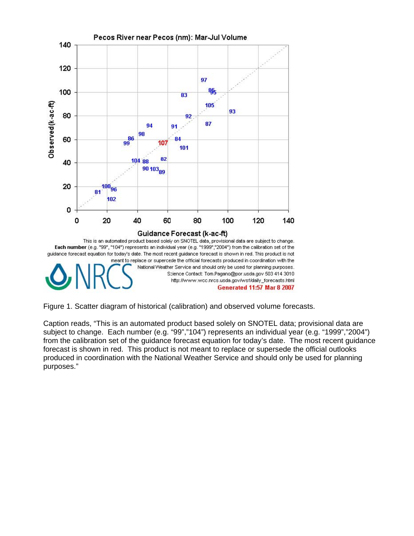

Figure 1. Scatter diagram of historical (calibration) and observed volume forecasts.

Caption reads, "This is an automated product based solely on SNOTEL data; provisional data are subject to change. Each number (e.g. "99","104") represents an individual year (e.g. "1999","2004") from the calibration set of the guidance forecast equation for today's date. The most recent guidance forecast is shown in red. This product is not meant to replace or supersede the official outlooks produced in coordination with the National Weather Service and should only be used for planning purposes."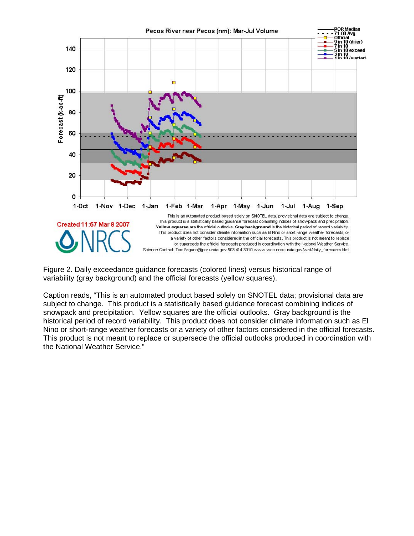

Figure 2. Daily exceedance guidance forecasts (colored lines) versus historical range of variability (gray background) and the official forecasts (yellow squares).

Caption reads, "This is an automated product based solely on SNOTEL data; provisional data are subject to change. This product is a statistically based guidance forecast combining indices of snowpack and precipitation. Yellow squares are the official outlooks. Gray background is the historical period of record variability. This product does not consider climate information such as El Nino or short-range weather forecasts or a variety of other factors considered in the official forecasts. This product is not meant to replace or supersede the official outlooks produced in coordination with the National Weather Service."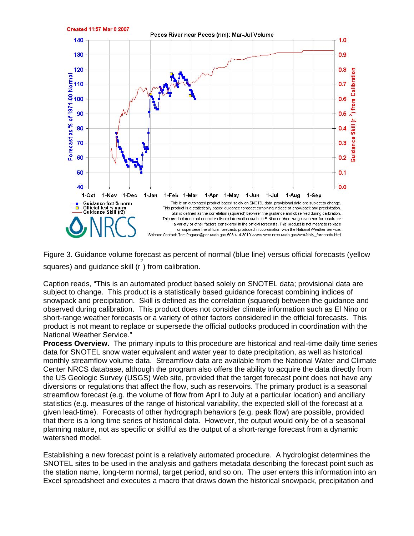

Figure 3. Guidance volume forecast as percent of normal (blue line) versus official forecasts (yellow squares) and guidance skill  $(\int_{0}^{2} f(x) \, dx)$  from calibration.

Caption reads, "This is an automated product based solely on SNOTEL data; provisional data are subject to change. This product is a statistically based guidance forecast combining indices of snowpack and precipitation. Skill is defined as the correlation (squared) between the guidance and observed during calibration. This product does not consider climate information such as El Nino or short-range weather forecasts or a variety of other factors considered in the official forecasts. This product is not meant to replace or supersede the official outlooks produced in coordination with the National Weather Service."

**Process Overview.** The primary inputs to this procedure are historical and real-time daily time series data for SNOTEL snow water equivalent and water year to date precipitation, as well as historical monthly streamflow volume data. Streamflow data are available from the National Water and Climate Center NRCS database, although the program also offers the ability to acquire the data directly from the US Geologic Survey (USGS) Web site, provided that the target forecast point does not have any diversions or regulations that affect the flow, such as reservoirs. The primary product is a seasonal streamflow forecast (e.g. the volume of flow from April to July at a particular location) and ancillary statistics (e.g. measures of the range of historical variability, the expected skill of the forecast at a given lead-time). Forecasts of other hydrograph behaviors (e.g. peak flow) are possible, provided that there is a long time series of historical data. However, the output would only be of a seasonal planning nature, not as specific or skillful as the output of a short-range forecast from a dynamic watershed model.

Establishing a new forecast point is a relatively automated procedure. A hydrologist determines the SNOTEL sites to be used in the analysis and gathers metadata describing the forecast point such as the station name, long-term normal, target period, and so on. The user enters this information into an Excel spreadsheet and executes a macro that draws down the historical snowpack, precipitation and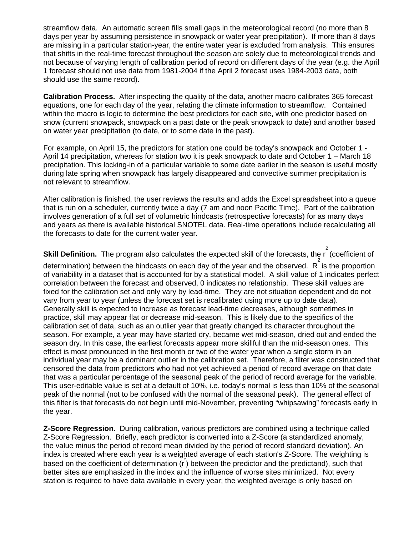streamflow data. An automatic screen fills small gaps in the meteorological record (no more than 8 days per year by assuming persistence in snowpack or water year precipitation). If more than 8 days are missing in a particular station-year, the entire water year is excluded from analysis. This ensures that shifts in the real-time forecast throughout the season are solely due to meteorological trends and not because of varying length of calibration period of record on different days of the year (e.g. the April 1 forecast should not use data from 1981-2004 if the April 2 forecast uses 1984-2003 data, both should use the same record).

**Calibration Process.** After inspecting the quality of the data, another macro calibrates 365 forecast equations, one for each day of the year, relating the climate information to streamflow. Contained within the macro is logic to determine the best predictors for each site, with one predictor based on snow (current snowpack, snowpack on a past date or the peak snowpack to date) and another based on water year precipitation (to date, or to some date in the past).

For example, on April 15, the predictors for station one could be today's snowpack and October 1 - April 14 precipitation, whereas for station two it is peak snowpack to date and October 1 – March 18 precipitation. This locking-in of a particular variable to some date earlier in the season is useful mostly during late spring when snowpack has largely disappeared and convective summer precipitation is not relevant to streamflow.

After calibration is finished, the user reviews the results and adds the Excel spreadsheet into a queue that is run on a scheduler, currently twice a day (7 am and noon Pacific Time). Part of the calibration involves generation of a full set of volumetric hindcasts (retrospective forecasts) for as many days and years as there is available historical SNOTEL data. Real-time operations include recalculating all the forecasts to date for the current water year.

**Skill Definition.** The program also calculates the expected skill of the forecasts, the r 2 (coefficient of determination) between the hindcasts on each day of the year and the observed.  $R^2$  is the proportion of variability in a dataset that is accounted for by a statistical model. A skill value of 1 indicates perfect correlation between the forecast and observed, 0 indicates no relationship. These skill values are fixed for the calibration set and only vary by lead-time. They are not situation dependent and do not vary from year to year (unless the forecast set is recalibrated using more up to date data). Generally skill is expected to increase as forecast lead-time decreases, although sometimes in practice, skill may appear flat or decrease mid-season. This is likely due to the specifics of the calibration set of data, such as an outlier year that greatly changed its character throughout the season. For example, a year may have started dry, became wet mid-season, dried out and ended the season dry. In this case, the earliest forecasts appear more skillful than the mid-season ones. This effect is most pronounced in the first month or two of the water year when a single storm in an individual year may be a dominant outlier in the calibration set. Therefore, a filter was constructed that censored the data from predictors who had not yet achieved a period of record average on that date that was a particular percentage of the seasonal peak of the period of record average for the variable. This user-editable value is set at a default of 10%, i.e. today's normal is less than 10% of the seasonal peak of the normal (not to be confused with the normal of the seasonal peak). The general effect of this filter is that forecasts do not begin until mid-November, preventing "whipsawing" forecasts early in the year.

**Z-Score Regression.** During calibration, various predictors are combined using a technique called Z-Score Regression. Briefly, each predictor is converted into a Z-Score (a standardized anomaly, the value minus the period of record mean divided by the period of record standard deviation). An index is created where each year is a weighted average of each station's Z-Score. The weighting is based on the coefficient of determination  $(r^2)$  between the predictor and the predictand), such that better sites are emphasized in the index and the influence of worse sites minimized. Not every station is required to have data available in every year; the weighted average is only based on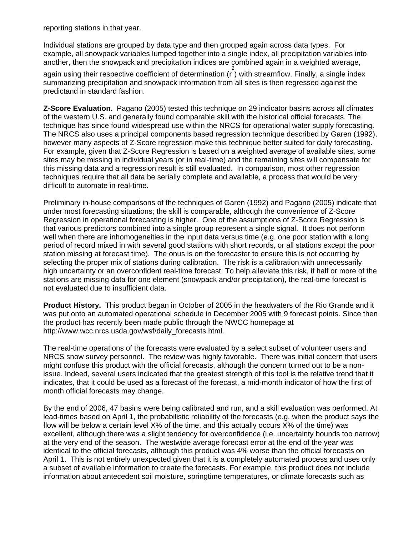reporting stations in that year.

Individual stations are grouped by data type and then grouped again across data types. For example, all snowpack variables lumped together into a single index, all precipitation variables into another, then the snowpack and precipitation indices are combined again in a weighted average,

again using their respective coefficient of determination  $\left(\frac{2}{r}\right)$  with streamflow. Finally, a single index summarizing precipitation and snowpack information from all sites is then regressed against the predictand in standard fashion.

**Z-Score Evaluation.** Pagano (2005) tested this technique on 29 indicator basins across all climates of the western U.S. and generally found comparable skill with the historical official forecasts. The technique has since found widespread use within the NRCS for operational water supply forecasting. The NRCS also uses a principal components based regression technique described by Garen (1992), however many aspects of Z-Score regression make this technique better suited for daily forecasting. For example, given that Z-Score Regression is based on a weighted average of available sites, some sites may be missing in individual years (or in real-time) and the remaining sites will compensate for this missing data and a regression result is still evaluated. In comparison, most other regression techniques require that all data be serially complete and available, a process that would be very difficult to automate in real-time.

Preliminary in-house comparisons of the techniques of Garen (1992) and Pagano (2005) indicate that under most forecasting situations; the skill is comparable, although the convenience of Z-Score Regression in operational forecasting is higher. One of the assumptions of Z-Score Regression is that various predictors combined into a single group represent a single signal. It does not perform well when there are inhomogeneities in the input data versus time (e.g. one poor station with a long period of record mixed in with several good stations with short records, or all stations except the poor station missing at forecast time). The onus is on the forecaster to ensure this is not occurring by selecting the proper mix of stations during calibration. The risk is a calibration with unnecessarily high uncertainty or an overconfident real-time forecast. To help alleviate this risk, if half or more of the stations are missing data for one element (snowpack and/or precipitation), the real-time forecast is not evaluated due to insufficient data.

**Product History.** This product began in October of 2005 in the headwaters of the Rio Grande and it was put onto an automated operational schedule in December 2005 with 9 forecast points. Since then the product has recently been made public through the NWCC homepage at http://www.wcc.nrcs.usda.gov/wsf/daily\_forecasts.html.

The real-time operations of the forecasts were evaluated by a select subset of volunteer users and NRCS snow survey personnel. The review was highly favorable. There was initial concern that users might confuse this product with the official forecasts, although the concern turned out to be a nonissue. Indeed, several users indicated that the greatest strength of this tool is the relative trend that it indicates, that it could be used as a forecast of the forecast, a mid-month indicator of how the first of month official forecasts may change.

By the end of 2006, 47 basins were being calibrated and run, and a skill evaluation was performed. At lead-times based on April 1, the probabilistic reliability of the forecasts (e.g. when the product says the flow will be below a certain level X% of the time, and this actually occurs X% of the time) was excellent, although there was a slight tendency for overconfidence (i.e. uncertainty bounds too narrow) at the very end of the season. The westwide average forecast error at the end of the year was identical to the official forecasts, although this product was 4% worse than the official forecasts on April 1. This is not entirely unexpected given that it is a completely automated process and uses only a subset of available information to create the forecasts. For example, this product does not include information about antecedent soil moisture, springtime temperatures, or climate forecasts such as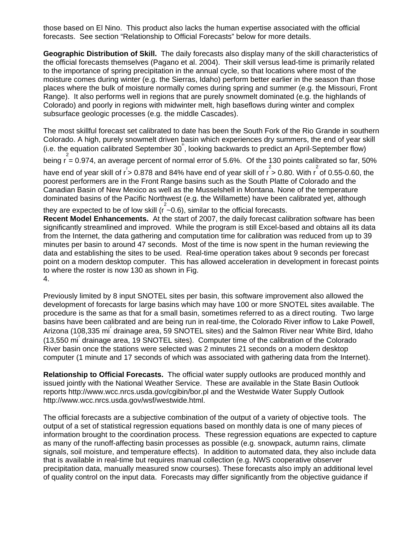those based on El Nino. This product also lacks the human expertise associated with the official forecasts. See section "Relationship to Official Forecasts" below for more details.

**Geographic Distribution of Skill.** The daily forecasts also display many of the skill characteristics of the official forecasts themselves (Pagano et al. 2004). Their skill versus lead-time is primarily related to the importance of spring precipitation in the annual cycle, so that locations where most of the moisture comes during winter (e.g. the Sierras, Idaho) perform better earlier in the season than those places where the bulk of moisture normally comes during spring and summer (e.g. the Missouri, Front Range). It also performs well in regions that are purely snowmelt dominated (e.g. the highlands of Colorado) and poorly in regions with midwinter melt, high baseflows during winter and complex subsurface geologic processes (e.g. the middle Cascades).

The most skillful forecast set calibrated to date has been the South Fork of the Rio Grande in southern Colorado. A high, purely snowmelt driven basin which experiences dry summers, the end of year skill (i.e. the equation calibrated September 30<sup>th</sup>, looking backwards to predict an April-September flow)

being  $r = 0.974$ , an average percent of normal error of 5.6%. Of the 130 points calibrated so far, 50%

have end of year skill of  $r^2 > 0.878$  and 84% have end of year skill of  $r > 0.80$ . With  $r^2$  of 0.55-0.60, the poorest performers are in the Front Range basins such as the South Platte of Colorado and the Canadian Basin of New Mexico as well as the Musselshell in Montana. None of the temperature dominated basins of the Pacific Northwest (e.g. the Willamette) have been calibrated yet, although

they are expected to be of low skill ( $r^2$  -0.6), similar to the official forecasts.

**Recent Model Enhancements.** At the start of 2007, the daily forecast calibration software has been significantly streamlined and improved. While the program is still Excel-based and obtains all its data from the Internet, the data gathering and computation time for calibration was reduced from up to 39 minutes per basin to around 47 seconds. Most of the time is now spent in the human reviewing the data and establishing the sites to be used. Real-time operation takes about 9 seconds per forecast point on a modern desktop computer. This has allowed acceleration in development in forecast points to where the roster is now 130 as shown in Fig. 4.

Previously limited by 8 input SNOTEL sites per basin, this software improvement also allowed the development of forecasts for large basins which may have 100 or more SNOTEL sites available. The procedure is the same as that for a small basin, sometimes referred to as a direct routing. Two large basins have been calibrated and are being run in real-time, the Colorado River inflow to Lake Powell, Arizona (108,335 mi drainage area, 59 SNOTEL sites) and the Salmon River near White Bird, Idaho (13,550 mi<sup>2</sup> drainage area, 19 SNOTEL sites). Computer time of the calibration of the Colorado River basin once the stations were selected was 2 minutes 21 seconds on a modern desktop computer (1 minute and 17 seconds of which was associated with gathering data from the Internet).

**Relationship to Official Forecasts.** The official water supply outlooks are produced monthly and issued jointly with the National Weather Service. These are available in the State Basin Outlook reports http://www.wcc.nrcs.usda.gov/cgibin/bor.pl and the Westwide Water Supply Outlook http://www.wcc.nrcs.usda.gov/wsf/westwide.html.

The official forecasts are a subjective combination of the output of a variety of objective tools. The output of a set of statistical regression equations based on monthly data is one of many pieces of information brought to the coordination process. These regression equations are expected to capture as many of the runoff-affecting basin processes as possible (e.g. snowpack, autumn rains, climate signals, soil moisture, and temperature effects). In addition to automated data, they also include data that is available in real-time but requires manual collection (e.g. NWS cooperative observer precipitation data, manually measured snow courses). These forecasts also imply an additional level of quality control on the input data. Forecasts may differ significantly from the objective guidance if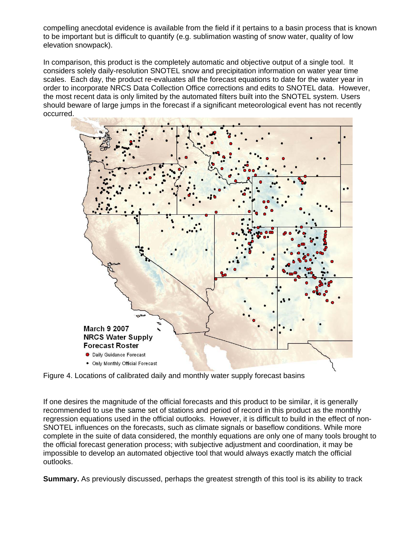compelling anecdotal evidence is available from the field if it pertains to a basin process that is known to be important but is difficult to quantify (e.g. sublimation wasting of snow water, quality of low elevation snowpack).

In comparison, this product is the completely automatic and objective output of a single tool. It considers solely daily-resolution SNOTEL snow and precipitation information on water year time scales. Each day, the product re-evaluates all the forecast equations to date for the water year in order to incorporate NRCS Data Collection Office corrections and edits to SNOTEL data. However, the most recent data is only limited by the automated filters built into the SNOTEL system. Users should beware of large jumps in the forecast if a significant meteorological event has not recently occurred.



Figure 4. Locations of calibrated daily and monthly water supply forecast basins

If one desires the magnitude of the official forecasts and this product to be similar, it is generally recommended to use the same set of stations and period of record in this product as the monthly regression equations used in the official outlooks. However, it is difficult to build in the effect of non-SNOTEL influences on the forecasts, such as climate signals or baseflow conditions. While more complete in the suite of data considered, the monthly equations are only one of many tools brought to the official forecast generation process; with subjective adjustment and coordination, it may be impossible to develop an automated objective tool that would always exactly match the official outlooks.

**Summary.** As previously discussed, perhaps the greatest strength of this tool is its ability to track